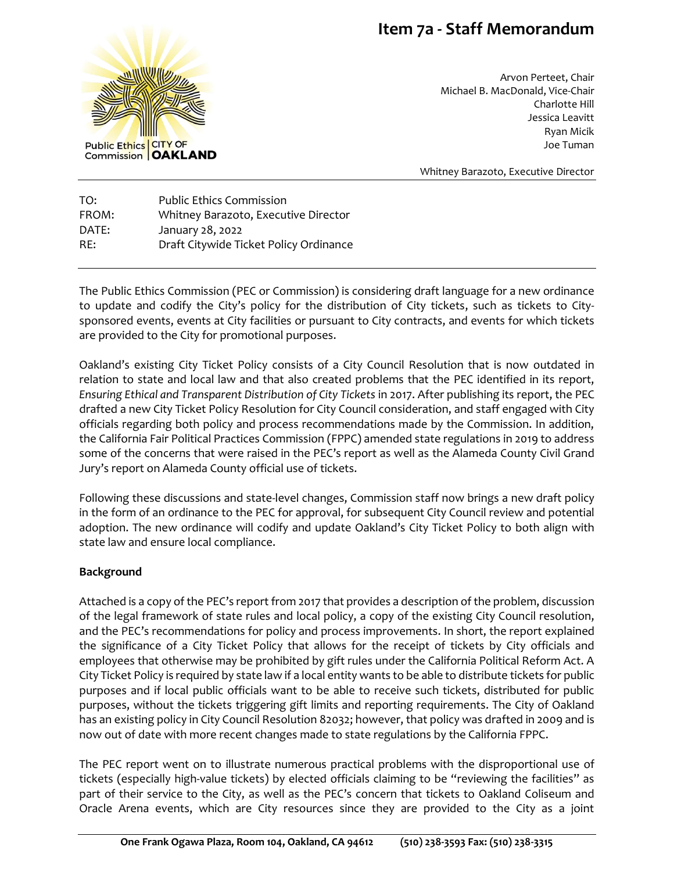# **Item 7a - Staff Memorandum**



Arvon Perteet, Chair Michael B. MacDonald, Vice-Chair Charlotte Hill Jessica Leavitt Ryan Micik Joe Tuman

Whitney Barazoto, Executive Director

TO: Public Ethics Commission FROM: Whitney Barazoto, Executive Director DATE: January 28, 2022 RE: Draft Citywide Ticket Policy Ordinance

The Public Ethics Commission (PEC or Commission) is considering draft language for a new ordinance to update and codify the City's policy for the distribution of City tickets, such as tickets to Citysponsored events, events at City facilities or pursuant to City contracts, and events for which tickets are provided to the City for promotional purposes.

Oakland's existing City Ticket Policy consists of a City Council Resolution that is now outdated in relation to state and local law and that also created problems that the PEC identified in its report, *Ensuring Ethical and Transparent Distribution of City Tickets* in 2017. After publishing its report, the PEC drafted a new City Ticket Policy Resolution for City Council consideration, and staff engaged with City officials regarding both policy and process recommendations made by the Commission. In addition, the California Fair Political Practices Commission (FPPC) amended state regulations in 2019 to address some of the concerns that were raised in the PEC's report as well as the Alameda County Civil Grand Jury's report on Alameda County official use of tickets.

Following these discussions and state-level changes, Commission staff now brings a new draft policy in the form of an ordinance to the PEC for approval, for subsequent City Council review and potential adoption. The new ordinance will codify and update Oakland's City Ticket Policy to both align with state law and ensure local compliance.

## **Background**

Attached is a copy of the PEC's report from 2017 that provides a description of the problem, discussion of the legal framework of state rules and local policy, a copy of the existing City Council resolution, and the PEC's recommendations for policy and process improvements. In short, the report explained the significance of a City Ticket Policy that allows for the receipt of tickets by City officials and employees that otherwise may be prohibited by gift rules under the California Political Reform Act. A City Ticket Policy is required by state law if a local entity wants to be able to distribute tickets for public purposes and if local public officials want to be able to receive such tickets, distributed for public purposes, without the tickets triggering gift limits and reporting requirements. The City of Oakland has an existing policy in City Council Resolution 82032; however, that policy was drafted in 2009 and is now out of date with more recent changes made to state regulations by the California FPPC.

The PEC report went on to illustrate numerous practical problems with the disproportional use of tickets (especially high-value tickets) by elected officials claiming to be "reviewing the facilities" as part of their service to the City, as well as the PEC's concern that tickets to Oakland Coliseum and Oracle Arena events, which are City resources since they are provided to the City as a joint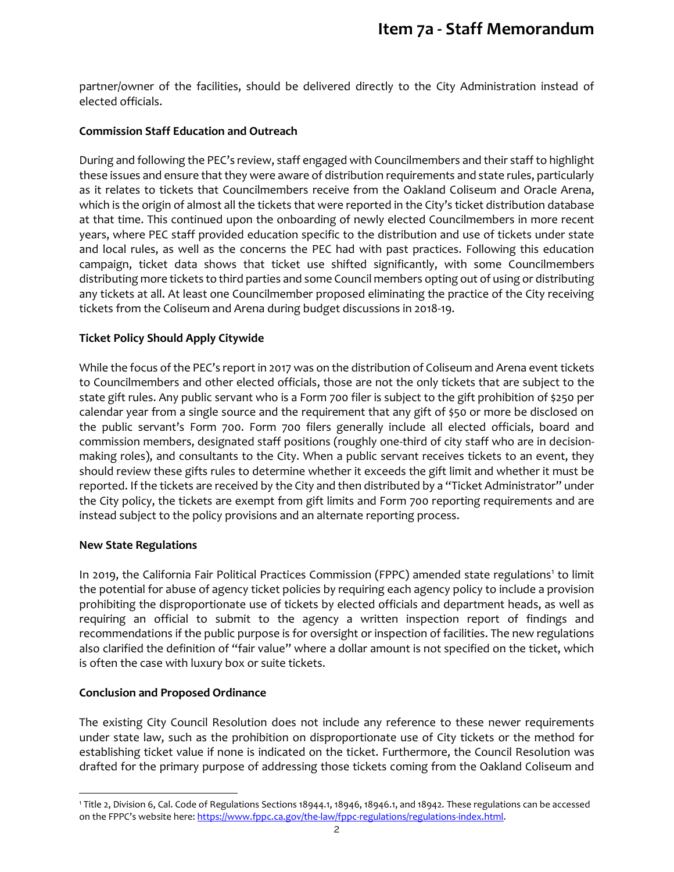partner/owner of the facilities, should be delivered directly to the City Administration instead of elected officials.

#### **Commission Staff Education and Outreach**

During and following the PEC's review, staff engaged with Councilmembers and their staff to highlight these issues and ensure that they were aware of distribution requirements and state rules, particularly as it relates to tickets that Councilmembers receive from the Oakland Coliseum and Oracle Arena, which is the origin of almost all the tickets that were reported in the City's ticket distribution database at that time. This continued upon the onboarding of newly elected Councilmembers in more recent years, where PEC staff provided education specific to the distribution and use of tickets under state and local rules, as well as the concerns the PEC had with past practices. Following this education campaign, ticket data shows that ticket use shifted significantly, with some Councilmembers distributing more tickets to third parties and some Council members opting out of using or distributing any tickets at all. At least one Councilmember proposed eliminating the practice of the City receiving tickets from the Coliseum and Arena during budget discussions in 2018-19.

### **Ticket Policy Should Apply Citywide**

While the focus of the PEC's report in 2017 was on the distribution of Coliseum and Arena event tickets to Councilmembers and other elected officials, those are not the only tickets that are subject to the state gift rules. Any public servant who is a Form 700 filer is subject to the gift prohibition of \$250 per calendar year from a single source and the requirement that any gift of \$50 or more be disclosed on the public servant's Form 700. Form 700 filers generally include all elected officials, board and commission members, designated staff positions (roughly one-third of city staff who are in decisionmaking roles), and consultants to the City. When a public servant receives tickets to an event, they should review these gifts rules to determine whether it exceeds the gift limit and whether it must be reported. If the tickets are received by the City and then distributed by a "Ticket Administrator" under the City policy, the tickets are exempt from gift limits and Form 700 reporting requirements and are instead subject to the policy provisions and an alternate reporting process.

## **New State Regulations**

 $\overline{a}$ 

In 2019, the California Fair Political Practices Commission (FPPC) amended state regulations<sup>1</sup> to limit the potential for abuse of agency ticket policies by requiring each agency policy to include a provision prohibiting the disproportionate use of tickets by elected officials and department heads, as well as requiring an official to submit to the agency a written inspection report of findings and recommendations if the public purpose is for oversight or inspection of facilities. The new regulations also clarified the definition of "fair value" where a dollar amount is not specified on the ticket, which is often the case with luxury box or suite tickets.

#### **Conclusion and Proposed Ordinance**

The existing City Council Resolution does not include any reference to these newer requirements under state law, such as the prohibition on disproportionate use of City tickets or the method for establishing ticket value if none is indicated on the ticket. Furthermore, the Council Resolution was drafted for the primary purpose of addressing those tickets coming from the Oakland Coliseum and

<sup>1</sup> Title 2, Division 6, Cal. Code of Regulations Sections 18944.1, 18946, 18946.1, and 18942. These regulations can be accessed on the FPPC's website here[: https://www.fppc.ca.gov/the-law/fppc-regulations/regulations-index.html.](https://www.fppc.ca.gov/the-law/fppc-regulations/regulations-index.html)